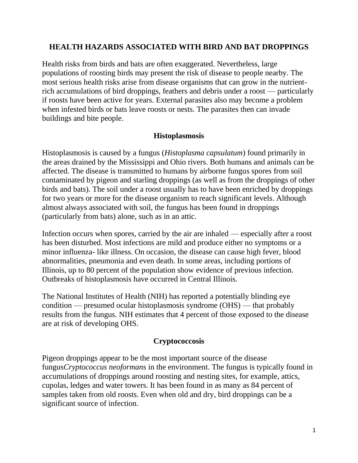# **HEALTH HAZARDS ASSOCIATED WITH BIRD AND BAT DROPPINGS**

Health risks from birds and bats are often exaggerated. Nevertheless, large populations of roosting birds may present the risk of disease to people nearby. The most serious health risks arise from disease organisms that can grow in the nutrientrich accumulations of bird droppings, feathers and debris under a roost — particularly if roosts have been active for years. External parasites also may become a problem when infested birds or bats leave roosts or nests. The parasites then can invade buildings and bite people.

## **Histoplasmosis**

Histoplasmosis is caused by a fungus (*Histoplasma capsulatum*) found primarily in the areas drained by the Mississippi and Ohio rivers. Both humans and animals can be affected. The disease is transmitted to humans by airborne fungus spores from soil contaminated by pigeon and starling droppings (as well as from the droppings of other birds and bats). The soil under a roost usually has to have been enriched by droppings for two years or more for the disease organism to reach significant levels. Although almost always associated with soil, the fungus has been found in droppings (particularly from bats) alone, such as in an attic.

Infection occurs when spores, carried by the air are inhaled — especially after a roost has been disturbed. Most infections are mild and produce either no symptoms or a minor influenza- like illness. On occasion, the disease can cause high fever, blood abnormalities, pneumonia and even death. In some areas, including portions of Illinois, up to 80 percent of the population show evidence of previous infection. Outbreaks of histoplasmosis have occurred in Central Illinois.

The National Institutes of Health (NIH) has reported a potentially blinding eye condition — presumed ocular histoplasmosis syndrome (OHS) — that probably results from the fungus. NIH estimates that 4 percent of those exposed to the disease are at risk of developing OHS.

#### **Cryptococcosis**

Pigeon droppings appear to be the most important source of the disease fungus*Cryptococcus neoformans* in the environment. The fungus is typically found in accumulations of droppings around roosting and nesting sites, for example, attics, cupolas, ledges and water towers. It has been found in as many as 84 percent of samples taken from old roosts. Even when old and dry, bird droppings can be a significant source of infection.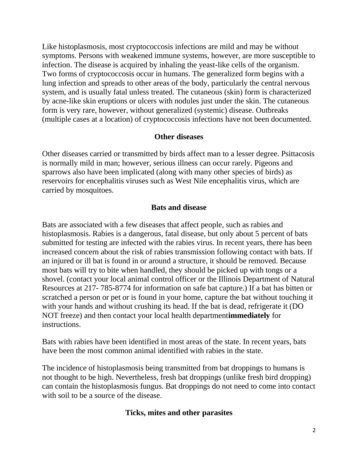Like histoplasmosis, most cryptococcosis infections are mild and may be without symptoms. Persons with weakened immune systems, however, are more susceptible to infection. The disease is acquired by inhaling the yeast-like cells of the organism. Two forms of cryptococcosis occur in humans. The generalized form begins with a lung infection and spreads to other areas of the body, particularly the central nervous system, and is usually fatal unless treated. The cutaneous (skin) form is characterized by acne-like skin eruptions or ulcers with nodules just under the skin. The cutaneous form is very rare, however, without generalized (systemic) disease. Outbreaks (multiple cases at a location) of cryptococcosis infections have not been documented.

#### **Other diseases**

Other diseases carried or transmitted by birds affect man to a lesser degree. Psittacosis is normally mild in man; however, serious illness can occur rarely. Pigeons and sparrows also have been implicated (along with many other species of birds) as reservoirs for encephalitis viruses such as West Nile encephalitis virus, which are carried by mosquitoes.

## **Bats and disease**

Bats are associated with a few diseases that affect people, such as rabies and histoplasmosis. Rabies is a dangerous, fatal disease, but only about 5 percent of bats submitted for testing are infected with the rabies virus. In recent years, there has been increased concern about the risk of rabies transmission following contact with bats. If an injured or ill bat is found in or around a structure, it should be removed. Because most bats will try to bite when handled, they should be picked up with tongs or a shovel. (contact your local animal control officer or the Illinois Department of Natural Resources at 217- 785-8774 for information on safe bat capture.) If a bat has bitten or scratched a person or pet or is found in your home, capture the bat without touching it with your hands and without crushing its head. If the bat is dead, refrigerate it (DO NOT freeze) and then contact your local health department**immediately** for instructions.

Bats with rabies have been identified in most areas of the state. In recent years, bats have been the most common animal identified with rabies in the state.

The incidence of histoplasmosis being transmitted from bat droppings to humans is not thought to be high. Nevertheless, fresh bat droppings (unlike fresh bird dropping) can contain the histoplasmosis fungus. Bat droppings do not need to come into contact with soil to be a source of the disease.

#### **Ticks, mites and other parasites**